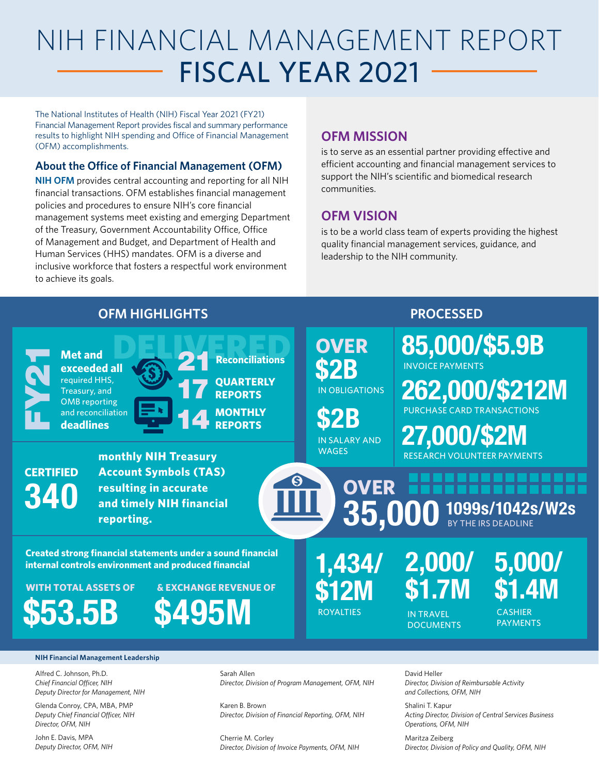# NIH FINANCIAL MANAGEMENT REPORT FISCAL YEAR 2021

The National Institutes of Health (NIH) Fiscal Year 2021 (FY21) Financial Management Report provides fiscal and summary performance results to highlight NIH spending and Office of Financial Management (OFM) accomplishments.

#### **About the Office of Financial Management ([OFM\)](https://ofm.od.nih.gov/Pages/Home.aspx)**

**[NIH OFM](https://ofm.od.nih.gov/Pages/Home.aspx)** provides central accounting and reporting for all NIH financial transactions. OFM establishes financial management policies and procedures to ensure NIH's core financial management systems meet existing and emerging Department of the Treasury, Government Accountability Office, Office of Management and Budget, and Department of Health and Human Services (HHS) mandates. OFM is a diverse and inclusive workforce that fosters a respectful work environment to achieve its goals.

#### **OFM MISSION**

is to serve as an essential partner providing effective and efficient accounting and financial management services to support the NIH's scientific and biomedical research communities.

#### **OFM VISION**

is to be a world class team of experts providing the highest quality financial management services, guidance, and leadership to the NIH community.



Alfred C. Johnson, Ph.D. *Chief Financial Officer, NIH Deputy Director for Management, NIH*

Glenda Conroy, CPA, MBA, PMP *Deputy Chief Financial Officer, NIH Director, OFM, NIH*

John E. Davis, MPA *Deputy Director, OFM, NIH* Sarah Allen *Director, Division of Program Management, OFM, NIH*

Karen B. Brown *Director, Division of Financial Reporting, OFM, NIH*

Cherrie M. Corley *Director, Division of Invoice Payments, OFM, NIH*

David Heller *Director, Division of Reimbursable Activity and Collections, OFM, NIH*

Shalini T. Kapur *Acting Director, Division of Central Services Business Operations, OFM, NIH*

Maritza Zeiberg *Director, Division of Policy and Quality, OFM, NIH*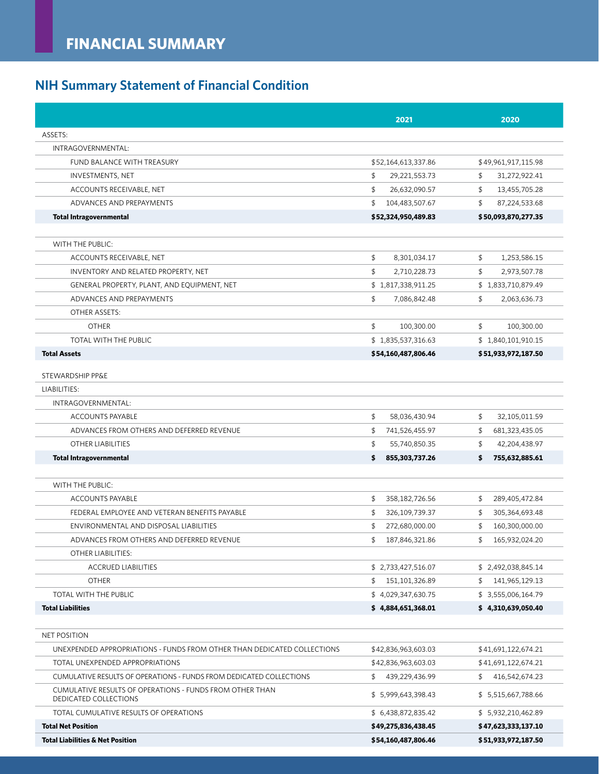# **NIH Summary Statement of Financial Condition**

|                                                                                   | 2021                   | 2020                 |
|-----------------------------------------------------------------------------------|------------------------|----------------------|
| ASSETS:                                                                           |                        |                      |
| INTRAGOVERNMENTAL:                                                                |                        |                      |
| FUND BALANCE WITH TREASURY                                                        | \$52,164,613,337.86    | \$49,961,917,115.98  |
| INVESTMENTS, NET                                                                  | \$<br>29,221,553.73    | 31,272,922.41<br>\$  |
| ACCOUNTS RECEIVABLE, NET                                                          | \$<br>26,632,090.57    | 13,455,705.28<br>\$  |
| ADVANCES AND PREPAYMENTS                                                          | \$<br>104,483,507.67   | \$<br>87,224,533.68  |
| <b>Total Intragovernmental</b>                                                    | \$52,324,950,489.83    | \$50,093,870,277.35  |
| WITH THE PUBLIC:                                                                  |                        |                      |
| ACCOUNTS RECEIVABLE, NET                                                          | \$                     | \$<br>1,253,586.15   |
|                                                                                   | 8,301,034.17<br>\$     | \$                   |
| INVENTORY AND RELATED PROPERTY, NET                                               | 2,710,228.73           | 2,973,507.78         |
| GENERAL PROPERTY, PLANT, AND EQUIPMENT, NET                                       | \$1,817,338,911.25     | \$1,833,710,879.49   |
| ADVANCES AND PREPAYMENTS                                                          | \$<br>7,086,842.48     | \$<br>2,063,636.73   |
| <b>OTHER ASSETS:</b>                                                              |                        |                      |
| <b>OTHER</b>                                                                      | \$<br>100,300.00       | \$<br>100,300.00     |
| TOTAL WITH THE PUBLIC                                                             | \$1,835,537,316.63     | \$1,840,101,910.15   |
| <b>Total Assets</b>                                                               | \$54,160,487,806.46    | \$ 51,933,972,187.50 |
| STEWARDSHIP PP&E                                                                  |                        |                      |
| LIABILITIES:                                                                      |                        |                      |
| INTRAGOVERNMENTAL:                                                                |                        |                      |
| <b>ACCOUNTS PAYABLE</b>                                                           | \$<br>58,036,430.94    | 32,105,011.59<br>\$  |
| ADVANCES FROM OTHERS AND DEFERRED REVENUE                                         | \$<br>741,526,455.97   | 681,323,435.05<br>\$ |
| OTHER LIABILITIES                                                                 | \$<br>55,740,850.35    | \$<br>42,204,438.97  |
| <b>Total Intragovernmental</b>                                                    | 855,303,737.26<br>\$   | 755,632,885.61<br>\$ |
|                                                                                   |                        |                      |
| WITH THE PUBLIC:                                                                  |                        |                      |
| <b>ACCOUNTS PAYABLE</b>                                                           | \$<br>358, 182, 726.56 | \$<br>289,405,472.84 |
| FEDERAL EMPLOYEE AND VETERAN BENEFITS PAYABLE                                     | \$<br>326,109,739.37   | 305,364,693.48<br>\$ |
| ENVIRONMENTAL AND DISPOSAL LIABILITIES                                            | \$<br>272,680,000.00   | \$<br>160,300,000.00 |
| ADVANCES FROM OTHERS AND DEFERRED REVENUE                                         | \$<br>187,846,321.86   | \$<br>165,932,024.20 |
| OTHER LIABILITIES:                                                                |                        |                      |
| <b>ACCRUED LIABILITIES</b>                                                        | \$2,733,427,516.07     | \$2,492,038,845.14   |
| <b>OTHER</b>                                                                      | \$<br>151,101,326.89   | \$<br>141,965,129.13 |
| TOTAL WITH THE PUBLIC                                                             | \$4,029,347,630.75     | \$ 3,555,006,164.79  |
| <b>Total Liabilities</b>                                                          | \$4,884,651,368.01     | \$4,310,639,050.40   |
| <b>NET POSITION</b>                                                               |                        |                      |
| UNEXPENDED APPROPRIATIONS - FUNDS FROM OTHER THAN DEDICATED COLLECTIONS           | \$42,836,963,603.03    | \$41,691,122,674.21  |
| TOTAL UNEXPENDED APPROPRIATIONS                                                   | \$42,836,963,603.03    | \$41,691,122,674.21  |
| CUMULATIVE RESULTS OF OPERATIONS - FUNDS FROM DEDICATED COLLECTIONS               | \$<br>439,229,436.99   | \$<br>416,542,674.23 |
| CUMULATIVE RESULTS OF OPERATIONS - FUNDS FROM OTHER THAN<br>DEDICATED COLLECTIONS | \$5,999,643,398.43     | \$5,515,667,788.66   |
| TOTAL CUMULATIVE RESULTS OF OPERATIONS                                            | \$6,438,872,835.42     | \$5,932,210,462.89   |
| <b>Total Net Position</b>                                                         | \$49,275,836,438.45    | \$47,623,333,137.10  |
| <b>Total Liabilities &amp; Net Position</b>                                       | \$54,160,487,806.46    | \$51,933,972,187.50  |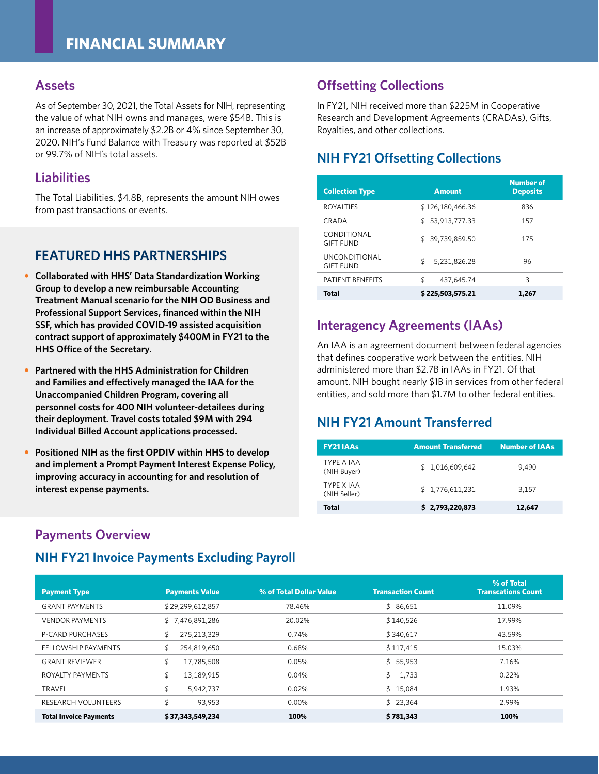#### **Assets**

As of September 30, 2021, the Total Assets for NIH, representing the value of what NIH owns and manages, were \$54B. This is an increase of approximately \$2.2B or 4% since September 30, 2020. NIH's Fund Balance with Treasury was reported at \$52B or 99.7% of NIH's total assets.

#### **Liabilities**

The Total Liabilities, \$4.8B, represents the amount NIH owes from past transactions or events.

#### **FEATURED HHS PARTNERSHIPS**

- **Collaborated with HHS' Data Standardization Working Group to develop a new reimbursable Accounting Treatment Manual scenario for the NIH OD Business and Professional Support Services, financed within the NIH SSF, which has provided COVID-19 assisted acquisition contract support of approximately \$400M in FY21 to the HHS Office of the Secretary.**
- **Partnered with the HHS Administration for Children and Families and effectively managed the IAA for the Unaccompanied Children Program, covering all personnel costs for 400 NIH volunteer-detailees during their deployment. Travel costs totaled \$9M with 294 Individual Billed Account applications processed.**
- **Positioned NIH as the first OPDIV within HHS to develop and implement a Prompt Payment Interest Expense Policy, improving accuracy in accounting for and resolution of interest expense payments.**

#### **Payments Overview**

#### **NIH FY21 Invoice Payments Excluding Payroll**

#### **Offsetting Collections**

In FY21, NIH received more than \$225M in Cooperative Research and Development Agreements (CRADAs), Gifts, Royalties, and other collections.

#### **NIH FY21 Offsetting Collections**

| <b>Collection Type</b>                   | <b>Amount</b>       | <b>Number of</b><br><b>Deposits</b> |
|------------------------------------------|---------------------|-------------------------------------|
| <b>ROYALTIES</b>                         | \$126.180.466.36    | 836                                 |
| CRADA                                    | 53,913,777.33<br>\$ | 157                                 |
| CONDITIONAL<br><b>GIFT FUND</b>          | \$39,739,859.50     | 175                                 |
| <b>UNCONDITIONAL</b><br><b>GIFT FUND</b> | \$<br>5.231.826.28  | 96                                  |
| PATIENT BENEFITS                         | \$<br>437,645.74    | 3                                   |
| Total                                    | \$225,503,575.21    | 1.267                               |

#### **Interagency Agreements (IAAs)**

An IAA is an agreement document between federal agencies that defines cooperative work between the entities. NIH administered more than \$2.7B in IAAs in FY21. Of that amount, NIH bought nearly \$1B in services from other federal entities, and sold more than \$1.7M to other federal entities.

## **NIH FY21 Amount Transferred**

| <b>FY21IAAs</b>            | <b>Amount Transferred</b> | <b>Number of IAAs</b> |
|----------------------------|---------------------------|-----------------------|
| TYPF A IAA<br>(NIH Buyer)  | \$1,016,609,642           | 9.490                 |
| TYPF X IAA<br>(NIH Seller) | \$1,776,611,231           | 3.157                 |
| Total                      | \$2,793,220,873           | 12,647                |

| <b>Payment Type</b>           | <b>Payments Value</b> | % of Total Dollar Value | <b>Transaction Count</b> | % of Total<br><b>Transcations Count</b> |
|-------------------------------|-----------------------|-------------------------|--------------------------|-----------------------------------------|
| <b>GRANT PAYMENTS</b>         | \$29,299,612,857      | 78.46%                  | \$86,651                 | 11.09%                                  |
| <b>VENDOR PAYMENTS</b>        | \$7,476,891,286       | 20.02%                  | \$140,526                | 17.99%                                  |
| <b>P-CARD PURCHASES</b>       | 275,213,329<br>\$     | 0.74%                   | \$340,617                | 43.59%                                  |
| FELLOWSHIP PAYMENTS           | \$<br>254,819,650     | 0.68%                   | \$117,415                | 15.03%                                  |
| <b>GRANT REVIEWER</b>         | \$<br>17,785,508      | 0.05%                   | \$5,953                  | 7.16%                                   |
| ROYALTY PAYMENTS              | \$<br>13,189,915      | 0.04%                   | 1,733<br>\$              | 0.22%                                   |
| <b>TRAVEL</b>                 | \$<br>5.942.737       | 0.02%                   | \$15.084                 | 1.93%                                   |
| <b>RESEARCH VOLUNTEERS</b>    | \$<br>93,953          | $0.00\%$                | \$23,364                 | 2.99%                                   |
| <b>Total Invoice Payments</b> | \$37,343,549,234      | 100%                    | \$781,343                | 100%                                    |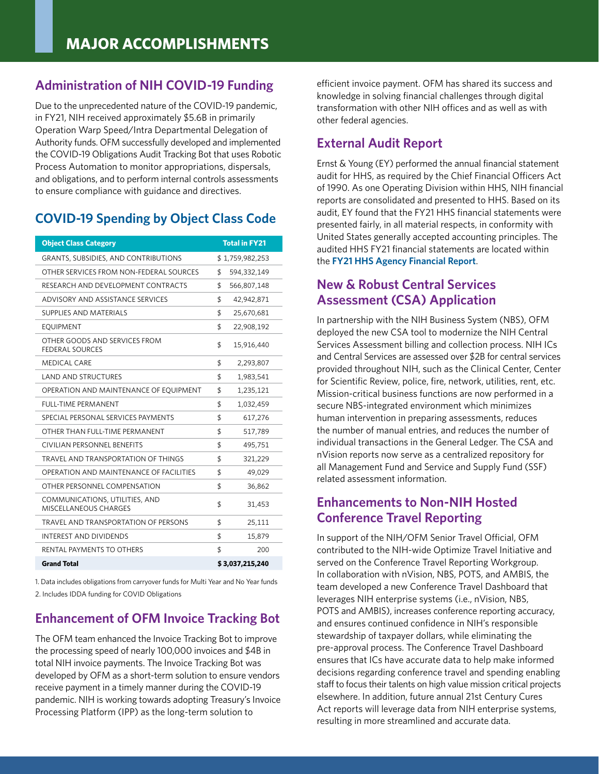#### **Administration of NIH COVID-19 Funding**

Due to the unprecedented nature of the COVID-19 pandemic, in FY21, NIH received approximately \$5.6B in primarily Operation Warp Speed/Intra Departmental Delegation of Authority funds. OFM successfully developed and implemented the COVID-19 Obligations Audit Tracking Bot that uses Robotic Process Automation to monitor appropriations, dispersals, and obligations, and to perform internal controls assessments to ensure compliance with guidance and directives.

#### **COVID-19 Spending by Object Class Code**

| <b>Object Class Category</b>                            |                 | <b>Total in FY21</b> |
|---------------------------------------------------------|-----------------|----------------------|
| <b>GRANTS, SUBSIDIES, AND CONTRIBUTIONS</b>             |                 | \$1,759,982,253      |
| OTHER SERVICES FROM NON-FEDERAL SOURCES                 | \$              | 594,332,149          |
| RESEARCH AND DEVELOPMENT CONTRACTS                      | \$              | 566,807,148          |
| ADVISORY AND ASSISTANCE SERVICES                        | \$              | 42,942,871           |
| SUPPLIES AND MATERIALS                                  | \$              | 25,670,681           |
| <b>EQUIPMENT</b>                                        | \$              | 22,908,192           |
| OTHER GOODS AND SERVICES FROM<br><b>FEDERAL SOURCES</b> | \$              | 15,916,440           |
| <b>MEDICAL CARE</b>                                     | \$              | 2,293,807            |
| <b>LAND AND STRUCTURES</b>                              | \$              | 1,983,541            |
| OPERATION AND MAINTENANCE OF EQUIPMENT                  | \$              | 1,235,121            |
| <b>FULL-TIME PERMANENT</b>                              | \$              | 1,032,459            |
| SPECIAL PERSONAL SERVICES PAYMENTS                      | \$              | 617,276              |
| OTHER THAN FULL-TIME PERMANENT                          | \$              | 517,789              |
| CIVILIAN PERSONNEL BENEFITS                             | \$              | 495,751              |
| TRAVEL AND TRANSPORTATION OF THINGS                     | \$              | 321,229              |
| OPERATION AND MAINTENANCE OF FACILITIES                 | \$              | 49,029               |
| OTHER PERSONNEL COMPENSATION                            | \$              | 36,862               |
| COMMUNICATIONS, UTILITIES, AND<br>MISCELLANEOUS CHARGES | \$              | 31,453               |
| TRAVEL AND TRANSPORTATION OF PERSONS                    | \$              | 25,111               |
| INTEREST AND DIVIDENDS                                  | \$              | 15,879               |
| RENTAL PAYMENTS TO OTHERS                               | \$              | 200                  |
| <b>Grand Total</b>                                      | \$3,037,215,240 |                      |

1. Data includes obligations from carryover funds for Multi Year and No Year funds 2. Includes IDDA funding for COVID Obligations

#### **Enhancement of OFM Invoice Tracking Bot**

The OFM team enhanced the Invoice Tracking Bot to improve the processing speed of nearly 100,000 invoices and \$4B in total NIH invoice payments. The Invoice Tracking Bot was developed by OFM as a short-term solution to ensure vendors receive payment in a timely manner during the COVID-19 pandemic. NIH is working towards adopting Treasury's Invoice Processing Platform (IPP) as the long-term solution to

efficient invoice payment. OFM has shared its success and knowledge in solving financial challenges through digital transformation with other NIH offices and as well as with other federal agencies.

#### **External Audit Report**

Ernst & Young (EY) performed the annual financial statement audit for HHS, as required by the Chief Financial Officers Act of 1990. As one Operating Division within HHS, NIH financial reports are consolidated and presented to HHS. Based on its audit, EY found that the FY21 HHS financial statements were presented fairly, in all material respects, in conformity with United States generally accepted accounting principles. The audited HHS FY21 financial statements are located within the **[FY21 HHS Agency Financial Report](https://www.hhs.gov/sites/default/files/fy-2021-hhs-agency-financial-report.pdf)**.

#### **New & Robust Central Services Assessment (CSA) Application**

In partnership with the NIH Business System (NBS), OFM deployed the new CSA tool to modernize the NIH Central Services Assessment billing and collection process. NIH ICs and Central Services are assessed over \$2B for central services provided throughout NIH, such as the Clinical Center, Center for Scientific Review, police, fire, network, utilities, rent, etc. Mission-critical business functions are now performed in a secure NBS-integrated environment which minimizes human intervention in preparing assessments, reduces the number of manual entries, and reduces the number of individual transactions in the General Ledger. The CSA and nVision reports now serve as a centralized repository for all Management Fund and Service and Supply Fund (SSF) related assessment information.

#### **Enhancements to Non-NIH Hosted Conference Travel Reporting**

In support of the NIH/OFM Senior Travel Official, OFM contributed to the NIH-wide Optimize Travel Initiative and served on the Conference Travel Reporting Workgroup. In collaboration with nVision, NBS, POTS, and AMBIS, the team developed a new Conference Travel Dashboard that leverages NIH enterprise systems (i.e., nVision, NBS, POTS and AMBIS), increases conference reporting accuracy, and ensures continued confidence in NIH's responsible stewardship of taxpayer dollars, while eliminating the pre-approval process. The Conference Travel Dashboard ensures that ICs have accurate data to help make informed decisions regarding conference travel and spending enabling staff to focus their talents on high value mission critical projects elsewhere. In addition, future annual 21st Century Cures Act reports will leverage data from NIH enterprise systems, resulting in more streamlined and accurate data.